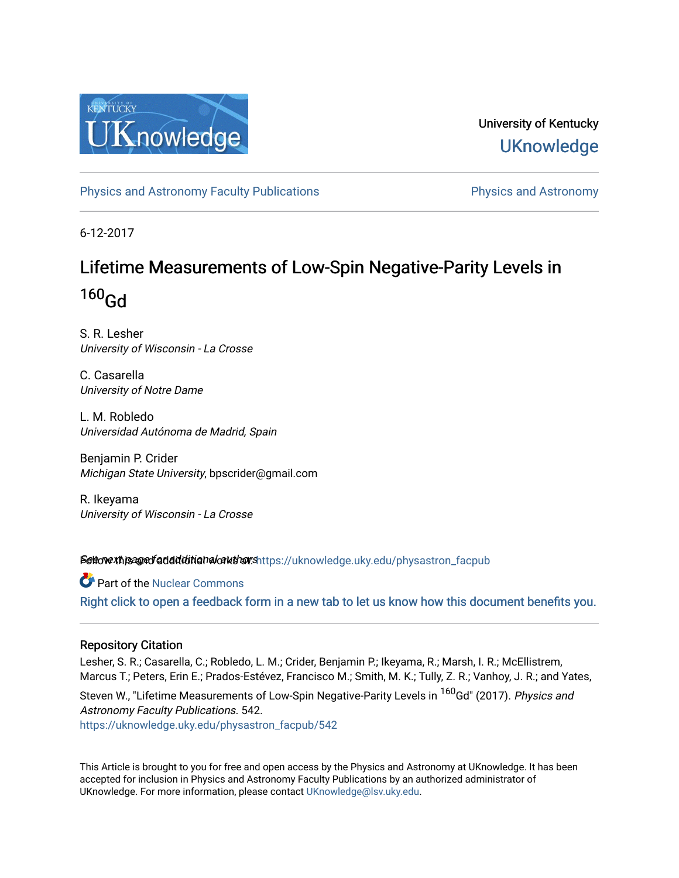

University of Kentucky **UKnowledge** 

[Physics and Astronomy Faculty Publications](https://uknowledge.uky.edu/physastron_facpub) **Physics and Astronomy** 

6-12-2017

# Lifetime Measurements of Low-Spin Negative-Parity Levels in  $160<sub>Gd</sub>$

S. R. Lesher University of Wisconsin - La Crosse

C. Casarella University of Notre Dame

L. M. Robledo Universidad Autónoma de Madrid, Spain

Benjamin P. Crider Michigan State University, bpscrider@gmail.com

R. Ikeyama University of Wisconsin - La Crosse

Settow the and fadditional authors[https://uknowledge.uky.edu/physastron\\_facpub](https://uknowledge.uky.edu/physastron_facpub?utm_source=uknowledge.uky.edu%2Fphysastron_facpub%2F542&utm_medium=PDF&utm_campaign=PDFCoverPages)

Part of the [Nuclear Commons](http://network.bepress.com/hgg/discipline/203?utm_source=uknowledge.uky.edu%2Fphysastron_facpub%2F542&utm_medium=PDF&utm_campaign=PDFCoverPages) [Right click to open a feedback form in a new tab to let us know how this document benefits you.](https://uky.az1.qualtrics.com/jfe/form/SV_9mq8fx2GnONRfz7)

## Repository Citation

Lesher, S. R.; Casarella, C.; Robledo, L. M.; Crider, Benjamin P.; Ikeyama, R.; Marsh, I. R.; McEllistrem, Marcus T.; Peters, Erin E.; Prados-Estévez, Francisco M.; Smith, M. K.; Tully, Z. R.; Vanhoy, J. R.; and Yates,

Steven W., "Lifetime Measurements of Low-Spin Negative-Parity Levels in <sup>160</sup>Gd" (2017). Physics and Astronomy Faculty Publications. 542. [https://uknowledge.uky.edu/physastron\\_facpub/542](https://uknowledge.uky.edu/physastron_facpub/542?utm_source=uknowledge.uky.edu%2Fphysastron_facpub%2F542&utm_medium=PDF&utm_campaign=PDFCoverPages)

This Article is brought to you for free and open access by the Physics and Astronomy at UKnowledge. It has been accepted for inclusion in Physics and Astronomy Faculty Publications by an authorized administrator of UKnowledge. For more information, please contact [UKnowledge@lsv.uky.edu](mailto:UKnowledge@lsv.uky.edu).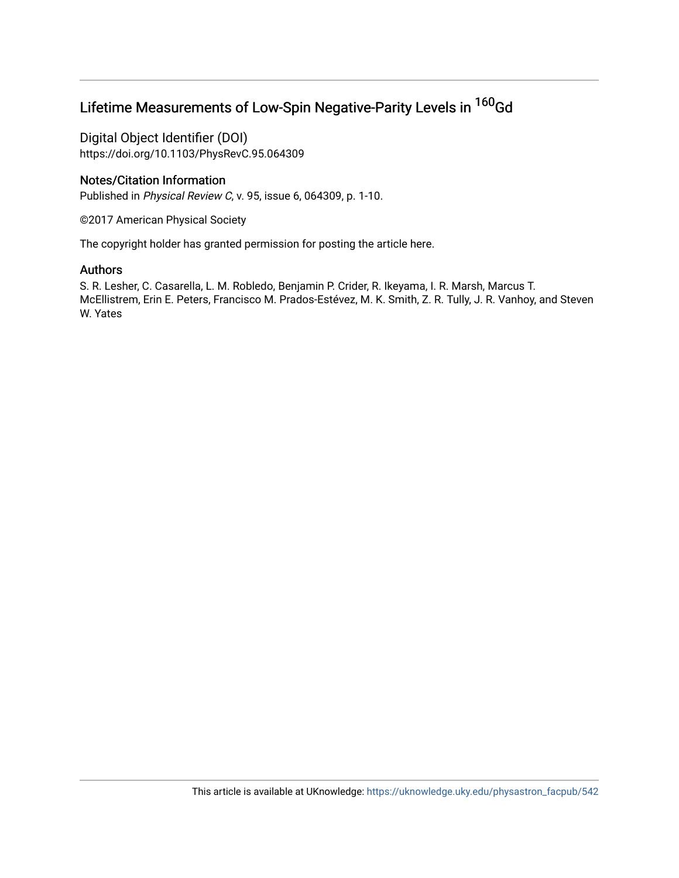## Lifetime Measurements of Low-Spin Negative-Parity Levels in <sup>160</sup>Gd

Digital Object Identifier (DOI) https://doi.org/10.1103/PhysRevC.95.064309

## Notes/Citation Information

Published in Physical Review C, v. 95, issue 6, 064309, p. 1-10.

©2017 American Physical Society

The copyright holder has granted permission for posting the article here.

## Authors

S. R. Lesher, C. Casarella, L. M. Robledo, Benjamin P. Crider, R. Ikeyama, I. R. Marsh, Marcus T. McEllistrem, Erin E. Peters, Francisco M. Prados-Estévez, M. K. Smith, Z. R. Tully, J. R. Vanhoy, and Steven W. Yates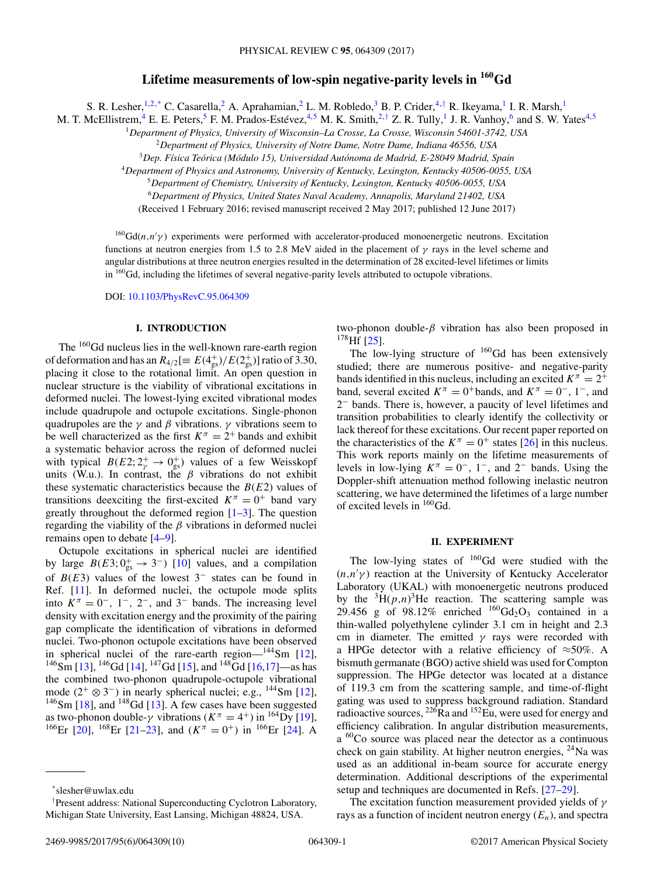## **Lifetime measurements of low-spin negative-parity levels in 160Gd**

S. R. Lesher, <sup>1,2,\*</sup> C. Casarella,<sup>2</sup> A. Aprahamian,<sup>2</sup> L. M. Robledo,<sup>3</sup> B. P. Crider,<sup>4,†</sup> R. Ikeyama,<sup>1</sup> I. R. Marsh,<sup>1</sup>

M. T. McEllistrem,<sup>4</sup> E. E. Peters,<sup>5</sup> F. M. Prados-Estévez,<sup>4,5</sup> M. K. Smith,<sup>2,†</sup> Z. R. Tully,<sup>1</sup> J. R. Vanhoy,<sup>6</sup> and S. W. Yates<sup>4,5</sup>

<sup>1</sup>*Department of Physics, University of Wisconsin–La Crosse, La Crosse, Wisconsin 54601-3742, USA*

<sup>2</sup>*Department of Physics, University of Notre Dame, Notre Dame, Indiana 46556, USA*

<sup>3</sup>*Dep. Física Teórica (Módulo 15), Universidad Autónoma de Madrid, E-28049 Madrid, Spain*

<sup>4</sup>*Department of Physics and Astronomy, University of Kentucky, Lexington, Kentucky 40506-0055, USA*

<sup>5</sup>*Department of Chemistry, University of Kentucky, Lexington, Kentucky 40506-0055, USA*

<sup>6</sup>*Department of Physics, United States Naval Academy, Annapolis, Maryland 21402, USA*

(Received 1 February 2016; revised manuscript received 2 May 2017; published 12 June 2017)

 $^{160}$ Gd(n,n'y) experiments were performed with accelerator-produced monoenergetic neutrons. Excitation functions at neutron energies from 1.5 to 2.8 MeV aided in the placement of  $\gamma$  rays in the level scheme and angular distributions at three neutron energies resulted in the determination of 28 excited-level lifetimes or limits in <sup>160</sup>Gd, including the lifetimes of several negative-parity levels attributed to octupole vibrations.

DOI: [10.1103/PhysRevC.95.064309](https://doi.org/10.1103/PhysRevC.95.064309)

## **I. INTRODUCTION**

The <sup>160</sup>Gd nucleus lies in the well-known rare-earth region of deformation and has an  $R_{4/2} [\equiv E(4_{\rm gs}^+)/E(2_{\rm gs}^+) ]$  ratio of 3.30, placing it close to the rotational limit. An open question in nuclear structure is the viability of vibrational excitations in deformed nuclei. The lowest-lying excited vibrational modes include quadrupole and octupole excitations. Single-phonon quadrupoles are the  $\gamma$  and  $\beta$  vibrations.  $\gamma$  vibrations seem to be well characterized as the first  $K^{\pi} = 2^{+}$  bands and exhibit a systematic behavior across the region of deformed nuclei with typical  $B(E2; 2^+_{\gamma} \rightarrow 0^+_{gs})$  values of a few Weisskopf units (W.u.). In contrast, the  $\beta$  vibrations do not exhibit these systematic characteristics because the  $B(E2)$  values of transitions deexciting the first-excited  $K^{\pi} = 0^{+}$  band vary greatly throughout the deformed region  $[1-3]$ . The question regarding the viability of the  $\beta$  vibrations in deformed nuclei remains open to debate [\[4–9\]](#page-10-0).

Octupole excitations in spherical nuclei are identified by large  $B(E3; 0<sub>gs</sub><sup>+</sup> \rightarrow 3<sup>-</sup>)$  [\[10\]](#page-10-0) values, and a compilation of  $B(E3)$  values of the lowest 3<sup>-</sup> states can be found in Ref. [\[11\]](#page-10-0). In deformed nuclei, the octupole mode splits into  $K^{\pi} = 0^{-}$ , 1<sup>-</sup>, 2<sup>-</sup>, and 3<sup>-</sup> bands. The increasing level density with excitation energy and the proximity of the pairing gap complicate the identification of vibrations in deformed nuclei. Two-phonon octupole excitations have been observed in spherical nuclei of the rare-earth region— $^{144}$ Sm [\[12\]](#page-10-0),  $^{146}$ Sm [\[13\]](#page-10-0),  $^{146}$ Gd [\[14\]](#page-10-0),  $^{147}$ Gd [\[15\]](#page-10-0), and  $^{148}$ Gd [\[16,17\]](#page-10-0)—as has the combined two-phonon quadrupole-octupole vibrational mode  $(2^+ \otimes 3^-)$  in nearly spherical nuclei; e.g., <sup>144</sup>Sm [\[12\]](#page-10-0),  $146$ Sm [\[18\]](#page-10-0), and  $148$ Gd [\[13\]](#page-10-0). A few cases have been suggested as two-phonon double-γ vibrations  $(K^{\pi} = 4^+)$  in <sup>164</sup>Dy [\[19\]](#page-10-0), <sup>166</sup>Er [\[20\]](#page-10-0), <sup>168</sup>Er [\[21–23\]](#page-10-0), and  $(K^{\pi} = 0^{+})$  in <sup>166</sup>Er [\[24\]](#page-10-0). A

two-phonon double- $\beta$  vibration has also been proposed in  $178$  Hf [\[25\]](#page-10-0).

The low-lying structure of <sup>160</sup>Gd has been extensively studied; there are numerous positive- and negative-parity bands identified in this nucleus, including an excited  $K^{\pi} = 2^{+}$ band, several excited  $K^{\pi} = 0^{+}$ bands, and  $K^{\pi} = 0^{-}$ , 1<sup>-</sup>, and 2<sup>−</sup> bands. There is, however, a paucity of level lifetimes and transition probabilities to clearly identify the collectivity or lack thereof for these excitations. Our recent paper reported on the characteristics of the  $K^{\pi} = 0^{+}$  states [\[26\]](#page-10-0) in this nucleus. This work reports mainly on the lifetime measurements of levels in low-lying  $K^{\pi} = 0^{-}$ , 1<sup>-</sup>, and 2<sup>-</sup> bands. Using the Doppler-shift attenuation method following inelastic neutron scattering, we have determined the lifetimes of a large number of excited levels in 160Gd.

## **II. EXPERIMENT**

The low-lying states of  $160$  Gd were studied with the  $(n,n'\gamma)$  reaction at the University of Kentucky Accelerator Laboratory (UKAL) with monoenergetic neutrons produced by the  ${}^{3}H(p,n){}^{3}He$  reaction. The scattering sample was 29.456 g of 98.12% enriched  $^{160}Gd_2O_3$  contained in a thin-walled polyethylene cylinder 3.1 cm in height and 2.3 cm in diameter. The emitted  $\gamma$  rays were recorded with a HPGe detector with a relative efficiency of  $\approx$ 50%. A bismuth germanate (BGO) active shield was used for Compton suppression. The HPGe detector was located at a distance of 119.3 cm from the scattering sample, and time-of-flight gating was used to suppress background radiation. Standard radioactive sources,  $^{226}$ Ra and  $^{152}$ Eu, were used for energy and efficiency calibration. In angular distribution measurements, a <sup>60</sup>Co source was placed near the detector as a continuous check on gain stability. At higher neutron energies,  $^{24}$ Na was used as an additional in-beam source for accurate energy determination. Additional descriptions of the experimental setup and techniques are documented in Refs. [\[27–29\]](#page-10-0).

The excitation function measurement provided yields of  $\gamma$ rays as a function of incident neutron energy  $(E_n)$ , and spectra

<sup>\*</sup>slesher@uwlax.edu

<sup>†</sup> Present address: National Superconducting Cyclotron Laboratory, Michigan State University, East Lansing, Michigan 48824, USA.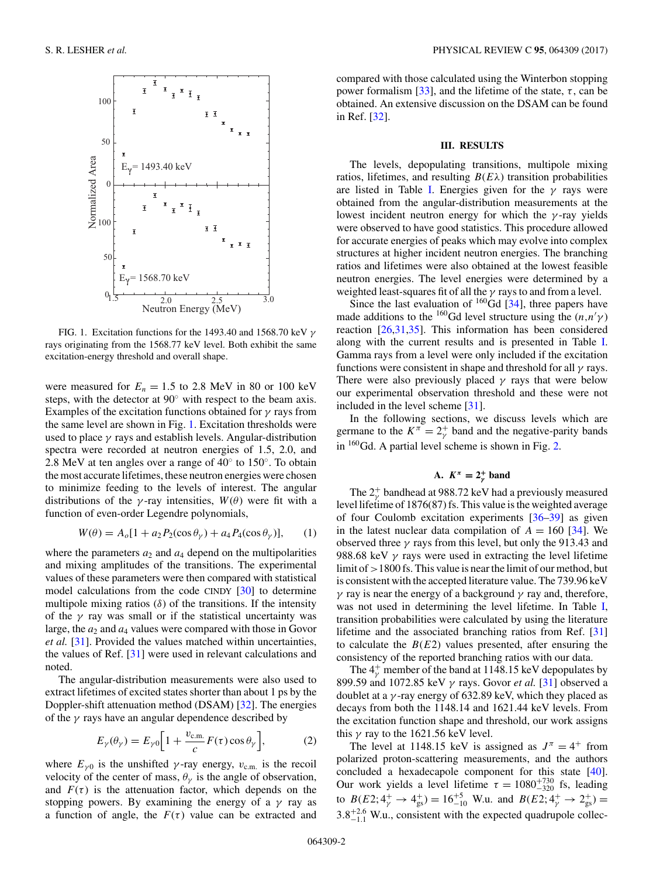

FIG. 1. Excitation functions for the 1493.40 and 1568.70 keV  $\gamma$ rays originating from the 1568.77 keV level. Both exhibit the same excitation-energy threshold and overall shape.

were measured for  $E_n = 1.5$  to 2.8 MeV in 80 or 100 keV steps, with the detector at 90◦ with respect to the beam axis. Examples of the excitation functions obtained for  $\gamma$  rays from the same level are shown in Fig. 1. Excitation thresholds were used to place  $\gamma$  rays and establish levels. Angular-distribution spectra were recorded at neutron energies of 1.5, 2.0, and 2.8 MeV at ten angles over a range of 40◦ to 150◦. To obtain the most accurate lifetimes, these neutron energies were chosen to minimize feeding to the levels of interest. The angular distributions of the  $\gamma$ -ray intensities,  $W(\theta)$  were fit with a function of even-order Legendre polynomials,

$$
W(\theta) = A_o[1 + a_2 P_2(\cos \theta_\gamma) + a_4 P_4(\cos \theta_\gamma)], \quad (1)
$$

where the parameters  $a_2$  and  $a_4$  depend on the multipolarities and mixing amplitudes of the transitions. The experimental values of these parameters were then compared with statistical model calculations from the code CINDY [\[30\]](#page-10-0) to determine multipole mixing ratios  $(\delta)$  of the transitions. If the intensity of the  $\gamma$  ray was small or if the statistical uncertainty was large, the  $a_2$  and  $a_4$  values were compared with those in Govor *et al.* [\[31\]](#page-10-0). Provided the values matched within uncertainties, the values of Ref. [\[31\]](#page-10-0) were used in relevant calculations and noted.

The angular-distribution measurements were also used to extract lifetimes of excited states shorter than about 1 ps by the Doppler-shift attenuation method (DSAM) [\[32\]](#page-10-0). The energies of the  $\gamma$  rays have an angular dependence described by

$$
E_{\gamma}(\theta_{\gamma}) = E_{\gamma 0} \left[ 1 + \frac{v_{\text{c.m.}}}{c} F(\tau) \cos \theta_{\gamma} \right],
$$
 (2)

where  $E_{\gamma 0}$  is the unshifted  $\gamma$ -ray energy,  $v_{\rm c.m.}$  is the recoil velocity of the center of mass,  $\theta_{\gamma}$  is the angle of observation, and  $F(\tau)$  is the attenuation factor, which depends on the stopping powers. By examining the energy of a  $\gamma$  ray as a function of angle, the  $F(\tau)$  value can be extracted and compared with those calculated using the Winterbon stopping power formalism [\[33\]](#page-10-0), and the lifetime of the state,  $\tau$ , can be obtained. An extensive discussion on the DSAM can be found in Ref. [\[32\]](#page-10-0).

#### **III. RESULTS**

The levels, depopulating transitions, multipole mixing ratios, lifetimes, and resulting  $B(E\lambda)$  transition probabilities are listed in Table [I.](#page-4-0) Energies given for the  $\gamma$  rays were obtained from the angular-distribution measurements at the lowest incident neutron energy for which the  $\gamma$ -ray yields were observed to have good statistics. This procedure allowed for accurate energies of peaks which may evolve into complex structures at higher incident neutron energies. The branching ratios and lifetimes were also obtained at the lowest feasible neutron energies. The level energies were determined by a weighted least-squares fit of all the  $\gamma$  rays to and from a level.

Since the last evaluation of  $160$ Gd [\[34\]](#page-10-0), three papers have made additions to the <sup>160</sup>Gd level structure using the  $(n,n'\gamma)$ reaction [\[26,31,35\]](#page-10-0). This information has been considered along with the current results and is presented in Table [I.](#page-4-0) Gamma rays from a level were only included if the excitation functions were consistent in shape and threshold for all  $\gamma$  rays. There were also previously placed  $\gamma$  rays that were below our experimental observation threshold and these were not included in the level scheme [\[31\]](#page-10-0).

In the following sections, we discuss levels which are germane to the  $K^{\pi} = 2_{\gamma}^{+}$  band and the negative-parity bands in  $160$  Gd. A partial level scheme is shown in Fig. [2.](#page-6-0)

## A.  $K^{\pi} = 2^{+}_{\gamma}$  band

The  $2^+$  bandhead at 988.72 keV had a previously measured level lifetime of 1876(87) fs. This value is the weighted average of four Coulomb excitation experiments [\[36–39\]](#page-10-0) as given in the latest nuclear data compilation of  $A = 160$  [\[34\]](#page-10-0). We observed three  $\gamma$  rays from this level, but only the 913.43 and 988.68 keV  $\gamma$  rays were used in extracting the level lifetime limit of >1800 fs. This value is near the limit of our method, but is consistent with the accepted literature value. The 739.96 keV  $\gamma$  ray is near the energy of a background  $\gamma$  ray and, therefore, was not used in determining the level lifetime. In Table [I,](#page-4-0) transition probabilities were calculated by using the literature lifetime and the associated branching ratios from Ref. [\[31\]](#page-10-0) to calculate the  $B(E2)$  values presented, after ensuring the consistency of the reported branching ratios with our data.

The  $4^+_\gamma$  member of the band at 1148.15 keV depopulates by 899.59 and 1072.85 keV γ rays. Govor *et al.* [\[31\]](#page-10-0) observed a doublet at a  $\gamma$ -ray energy of 632.89 keV, which they placed as decays from both the 1148.14 and 1621.44 keV levels. From the excitation function shape and threshold, our work assigns this  $\gamma$  ray to the 1621.56 keV level.

The level at 1148.15 keV is assigned as  $J^{\pi} = 4^+$  from polarized proton-scattering measurements, and the authors concluded a hexadecapole component for this state [\[40\]](#page-10-0). Our work yields a level lifetime  $\tau = 1080^{+730}_{-320}$  fs, leading to  $B(E2; 4^+_{\gamma} \rightarrow 4^+_{gs}) = 16^{+5}_{-10}$  W.u. and  $B(E2; 4^+_{\gamma} \rightarrow 2^+_{gs}) =$  $3.8^{+2.6}_{-1.1}$  W.u., consistent with the expected quadrupole collec-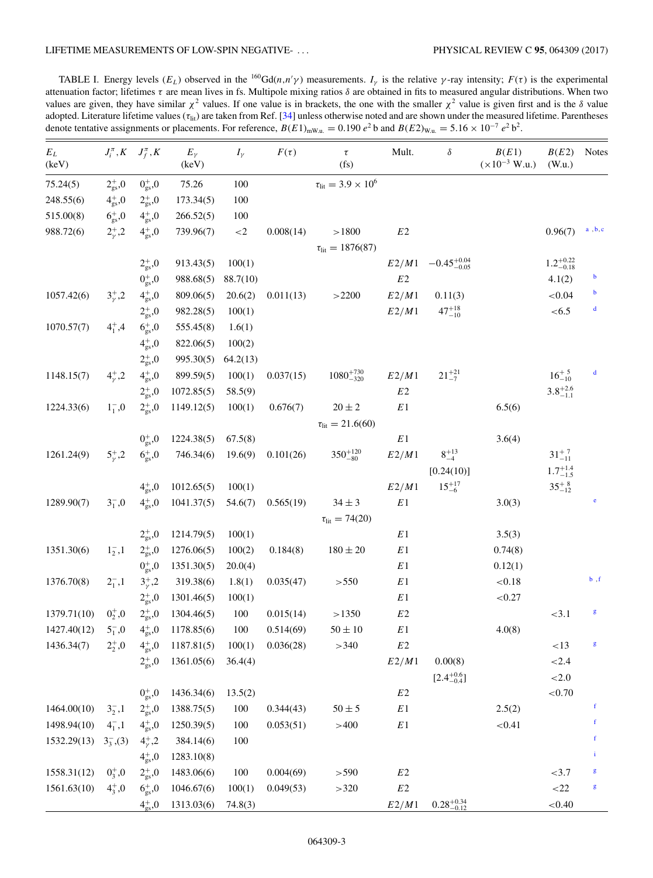<span id="page-4-0"></span>TABLE I. Energy levels  $(E_L)$  observed in the  $^{160}Gd(n,n'\gamma)$  measurements.  $I_\gamma$  is the relative  $\gamma$ -ray intensity;  $F(\tau)$  is the experimental attenuation factor; lifetimes  $\tau$  are mean lives in fs. Multipole mixing ratios  $\delta$  are obtained in fits to measured angular distributions. When two values are given, they have similar  $\chi^2$  values. If one value is in brackets, the one with the smaller  $\chi^2$  value is given first and is the  $\delta$  value adopted. Literature lifetime values  $(\tau_{\text{lit}})$  are taken from Ref. [\[34\]](#page-10-0) unless otherwise noted and are shown under the measured lifetime. Parentheses denote tentative assignments or placements. For reference,  $B(E1)_{mW.u.} = 0.190 e^2$  b and  $B(E2)_{W.u.} = 5.16 \times 10^{-7} e^2$  b<sup>2</sup>.

| $E_L$<br>(keV) |                     | $J_i^{\pi}, K \quad J_f^{\pi}, K$ | $E_{\gamma}$<br>(keV) | $I_{\gamma}$ | $F(\tau)$ | $\tau$<br>(f <sub>S</sub> )             | Mult.  | $\delta$                | B(E1)<br>$(\times 10^{-3}$ W.u.) | B(E2)<br>(W.u.)       | Notes        |
|----------------|---------------------|-----------------------------------|-----------------------|--------------|-----------|-----------------------------------------|--------|-------------------------|----------------------------------|-----------------------|--------------|
| 75.24(5)       | $2_{gs}^{+}$ ,0     | $0^{+}_{gs}$ ,0                   | 75.26                 | 100          |           | $\tau_{\text{lit}} = 3.9 \times 10^6$   |        |                         |                                  |                       |              |
| 248.55(6)      | $4_{\rm gs}^+$ ,0   | $2_{gs}^{+}$ ,0                   | 173.34(5)             | 100          |           |                                         |        |                         |                                  |                       |              |
| 515.00(8)      | $6^{+}_{gs}$ ,0     | $4_{gs}^{+}$ ,0                   | 266.52(5)             | 100          |           |                                         |        |                         |                                  |                       |              |
| 988.72(6)      | $2^{+}_{\nu}$ ,2    | $4_{gs}^{+}$ ,0                   | 739.96(7)             | ${<}2$       | 0.008(14) | >1800<br>$\tau_{\text{lit}} = 1876(87)$ | $E2\,$ |                         |                                  | 0.96(7)               | a, b, c      |
|                |                     | $2_{\rm gs}^+$ ,0                 | 913.43(5)             | 100(1)       |           |                                         | E2/M1  | $-0.45_{-0.05}^{+0.04}$ |                                  | $1.2^{+0.22}_{-0.18}$ |              |
|                |                     | $0^{+}_{gs}$ ,0                   | 988.68(5)             | 88.7(10)     |           |                                         | $E2\,$ |                         |                                  | 4.1(2)                | $\mathbf b$  |
| 1057.42(6)     | $3^{+}_{\nu}$ ,2    | $4_{gs}^{+}$ ,0                   | 809.06(5)             | 20.6(2)      | 0.011(13) | >2200                                   | E2/M1  | 0.11(3)                 |                                  | ${<}0.04$             | $\mathbf b$  |
|                |                     | $2_{gs}^{+}$ ,0                   | 982.28(5)             | 100(1)       |           |                                         | E2/M1  | $47^{+18}_{-10}$        |                                  | < 6.5                 | $\mathbf d$  |
| 1070.57(7)     | $4^+,4$             | $6^{+}_{gs}$ ,0                   | 555.45(8)             | 1.6(1)       |           |                                         |        |                         |                                  |                       |              |
|                |                     | $4_{gs}^{+}$ ,0                   | 822.06(5)             | 100(2)       |           |                                         |        |                         |                                  |                       |              |
|                |                     | $2_\mathrm{gs}^+{,}0$             | 995.30(5)             | 64.2(13)     |           |                                         |        |                         |                                  |                       |              |
| 1148.15(7)     | $4^{+}_{v}$ , 2     | $4_{\rm gs}^+$ ,0                 | 899.59(5)             | 100(1)       | 0.037(15) | $1080^{+730}_{-320}$                    | E2/M1  | $21^{+21}_{-7}$         |                                  | $16^{+5}_{-10}$       | $\mathbf d$  |
|                |                     | $2_{gs}^{+}$ ,0                   | 1072.85(5)            | 58.5(9)      |           |                                         | $E2$   |                         |                                  | $3.8^{+2.6}_{-1.1}$   |              |
| 1224.33(6)     | $1^{-}_{1}$ ,0      | $2_{\rm gs}^+$ ,0                 | 1149.12(5)            | 100(1)       | 0.676(7)  | $20 \pm 2$                              | E1     |                         | 6.5(6)                           |                       |              |
|                |                     |                                   |                       |              |           | $\tau_{\text{lit}} = 21.6(60)$          |        |                         |                                  |                       |              |
|                |                     | $0gs+,0$                          | 1224.38(5)            | 67.5(8)      |           |                                         | $E\,1$ |                         | 3.6(4)                           |                       |              |
| 1261.24(9)     | $5^{+}_{v}$ ,2      | $6^{+}_{\rm gs}$ ,0               | 746.34(6)             | 19.6(9)      | 0.101(26) | $350^{+120}_{-80}$                      | E2/M1  | $8^{+13}_{-4}$          |                                  | $31^{+7}_{-11}$       |              |
|                |                     |                                   |                       |              |           |                                         |        | [0.24(10)]              |                                  | $1.7^{+1.4}_{-1.5}$   |              |
|                |                     | $4_{gs}^{+}$ ,0                   | 1012.65(5)            | 100(1)       |           |                                         | E2/M1  | $15^{+17}_{-6}$         |                                  | $35^{+8}_{-12}$       |              |
| 1289.90(7)     | $3^{-}_{1}$ ,0      | $4_{gs}^{+}$ ,0                   | 1041.37(5)            | 54.6(7)      | 0.565(19) | $34 \pm 3$                              | E1     |                         | 3.0(3)                           |                       | $\mathbf{e}$ |
|                |                     |                                   |                       |              |           | $\tau_{\text{lit}} = 74(20)$            |        |                         |                                  |                       |              |
|                |                     | $2_{gs}^{+}$ ,0                   | 1214.79(5)            | 100(1)       |           |                                         | E1     |                         | 3.5(3)                           |                       |              |
| 1351.30(6)     | $1_{2}^{-},1$       | $2_{\rm gs}^+$ ,0                 | 1276.06(5)            | 100(2)       | 0.184(8)  | $180 \pm 20$                            | E1     |                         | 0.74(8)                          |                       |              |
|                |                     | $0^{+}_{\rm gs}$ ,0               | 1351.30(5)            | 20.0(4)      |           |                                         | E1     |                         | 0.12(1)                          |                       |              |
| 1376.70(8)     | $2^{-}_{1}$ , 1     | $3^{+}_{\nu}$ ,2                  | 319.38(6)             | 1.8(1)       | 0.035(47) | > 550                                   | E1     |                         | ${<}0.18$                        |                       | b, f         |
|                |                     | $2_{gs}^{+}$ ,0                   | 1301.46(5)            | 100(1)       |           |                                         | E1     |                         | ${<}0.27$                        |                       |              |
| 1379.71(10)    | $0^{+}_{2}$ ,0      | $2_{\rm gs}^+$ ,0                 | 1304.46(5)            | 100          | 0.015(14) | >1350                                   | $E2$   |                         |                                  | <3.1                  | g            |
| 1427.40(12)    | $5^{-}_{1}$ ,0      | $4^{+}_{gs}$ ,0                   | 1178.85(6)            | 100          | 0.514(69) | $50 \pm 10$                             | E1     |                         | 4.0(8)                           |                       |              |
| 1436.34(7)     | $2^{+}_{2}$ ,0      | $4^+_{\rm gs},0$                  | 1187.81(5)            | 100(1)       | 0.036(28) | >340                                    | $E2\,$ |                         |                                  | <13                   | $\mathbf{g}$ |
|                |                     | $2_{\rm gs}^+$ ,0                 | 1361.05(6)            | 36.4(4)      |           |                                         | E2/M1  | 0.00(8)                 |                                  | ${<}2.4$              |              |
|                |                     |                                   |                       |              |           |                                         |        | $[2.4^{+0.6}_{-0.4}]$   |                                  | ${<}2.0$              |              |
|                |                     | $0^{+}_{gs}$ ,0                   | 1436.34(6)            | 13.5(2)      |           |                                         | $E2\,$ |                         |                                  | ${<}0.70$             |              |
| 1464.00(10)    | $3_{2}^{-},1$       | $2_{\rm gs}^+$ ,0                 | 1388.75(5)            | 100          | 0.344(43) | $50\pm5$                                | $E\,1$ |                         | 2.5(2)                           |                       | $\mathbf f$  |
| 1498.94(10)    | $4^{-}_{1}$ , 1     | $4_{gs}^{+}$ ,0                   | 1250.39(5)            | 100          | 0.053(51) | >400                                    | $E\,1$ |                         | < 0.41                           |                       | f            |
| 1532.29(13)    | $3\frac{}{3}$ , (3) | $4^{+}_{\nu}$ ,2                  | 384.14(6)             | 100          |           |                                         |        |                         |                                  |                       | f            |
|                |                     | $4_{gs}^{+}$ ,0                   | 1283.10(8)            |              |           |                                         |        |                         |                                  |                       | i            |
| 1558.31(12)    | $0^+_{3}$ ,0        | $2_{\rm gs}^+$ ,0                 | 1483.06(6)            | 100          | 0.004(69) | >590                                    | $E2\,$ |                         |                                  | <3.7                  | g            |
| 1561.63(10)    | $4^{+}_{3}$ ,0      | $6^{+}_{gs}$ ,0                   | 1046.67(6)            | 100(1)       | 0.049(53) | >320                                    | $E2$   |                         |                                  | <22                   | g            |
|                |                     | $4_{gs}^{+}$ ,0                   | 1313.03(6)            | 74.8(3)      |           |                                         | E2/M1  | $0.28_{-0.12}^{+0.34}$  |                                  | ${<}0.40$             |              |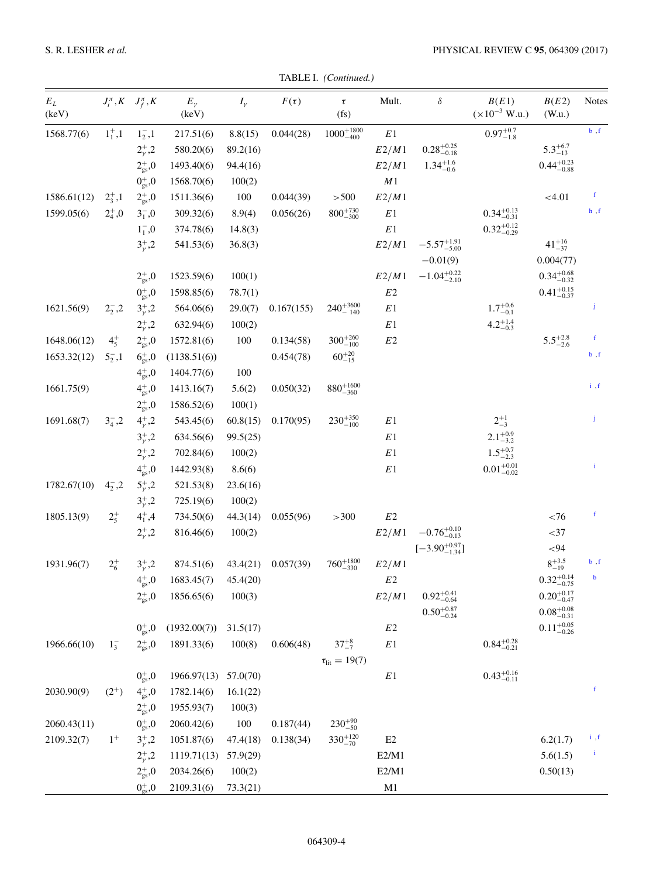|  | TABLE I. (Continued.) |
|--|-----------------------|
|--|-----------------------|

| $E_L$<br>(keV) |                 | $J_i^{\pi}, K \quad J_f^{\pi}, K$ | $E_{\gamma}$<br>(keV) | $I_{\gamma}$ | $F(\tau)$  | $\tau$<br>(f <sub>S</sub> ) | Mult.                         | $\delta$                              | B(E1)<br>$(\times 10^{-3}$ W.u.) | B(E2)<br>(W.u.)               | <b>Notes</b> |
|----------------|-----------------|-----------------------------------|-----------------------|--------------|------------|-----------------------------|-------------------------------|---------------------------------------|----------------------------------|-------------------------------|--------------|
| 1568.77(6)     | $1^+_1,1^-$     | $1_{2}^{-},1$                     | 217.51(6)             | 8.8(15)      | 0.044(28)  | $1000^{+1800}_{-400}$       | $\mathbb{E} \hspace{.01cm} 1$ |                                       | $0.97^{+0.7}_{-1.8}$             |                               | $b$ , $f$    |
|                |                 | $2^{+}_{\gamma}$ ,2               | 580.20(6)             | 89.2(16)     |            |                             | E2/M1                         | $0.28_{-0.18}^{+0.25}$                |                                  | $5.3^{+6.7}_{-13}$            |              |
|                |                 | $2_{gs}^{+}$ ,0                   | 1493.40(6)            | 94.4(16)     |            |                             | E2/M1                         | $1.34_{-0.6}^{+1.6}$                  |                                  | $0.44^{+0.23}_{-0.88}$        |              |
|                |                 | $0_{gs}^{+}$ ,0                   | 1568.70(6)            | 100(2)       |            |                             | $\cal M1$                     |                                       |                                  |                               |              |
| 1586.61(12)    | $2^+_3,1$       | $2_{\rm gs}^+$ ,0                 | 1511.36(6)            | 100          | 0.044(39)  | > 500                       | E2/M1                         |                                       |                                  | < 4.01                        | f            |
| 1599.05(6)     | $2^{+}_{4}$ ,0  | $3^{-}_{1}$ ,0                    | 309.32(6)             | 8.9(4)       | 0.056(26)  | $800^{+730}_{-300}$         | $\mathbb E\,1$                |                                       | $0.34_{-0.31}^{+0.13}$           |                               | h, f         |
|                |                 | $1^{-}_{1}$ ,0                    | 374.78(6)             | 14.8(3)      |            |                             | E1                            |                                       | $0.32^{+0.12}_{-0.29}$           |                               |              |
|                |                 | $3^{+}_{\nu}$ ,2                  | 541.53(6)             | 36.8(3)      |            |                             | E2/M1                         | $-5.57^{+1.91}_{-5.00}$<br>$-0.01(9)$ |                                  | $41^{+16}_{-37}$<br>0.004(77) |              |
|                |                 | $2_{gs}^{+}$ ,0                   | 1523.59(6)            | 100(1)       |            |                             | E2/M1                         | $-1.04_{-2.10}^{+0.22}$               |                                  | $0.34^{+0.68}_{-0.32}$        |              |
|                |                 | $0gs+,0$                          | 1598.85(6)            | 78.7(1)      |            |                             | E2                            |                                       |                                  | $0.41_{-0.37}^{+0.15}$        |              |
| 1621.56(9)     | $2^-_2, 2$      | $3^{+}_{\nu}$ ,2                  | 564.06(6)             | 29.0(7)      | 0.167(155) | $240^{+3600}_{-140}$        | $\mathbb E\,1$                |                                       | $1.7^{+0.6}_{-0.1}$              |                               | j            |
|                |                 | $2^{+}_{\nu}$ ,2                  | 632.94(6)             | 100(2)       |            |                             | E1                            |                                       | $4.2^{+1.4}_{-0.3}$              |                               |              |
| 1648.06(12)    | $4^{+}_{5}$     | $2_{gs}^{+}$ ,0                   | 1572.81(6)            | 100          | 0.134(58)  | $300^{+260}_{-100}$         | $E2\,$                        |                                       |                                  | $5.5^{+2.8}_{-2.6}$           | f            |
| 1653.32(12)    | $5^{-}_{2}$ , 1 | $6^{+}_{gs}$ ,0                   | (1138.51(6))          |              | 0.454(78)  | $60^{+20}_{-15}$            |                               |                                       |                                  |                               | $b$ , $f$    |
|                |                 | $4_{gs}^{+}$ ,0                   | 1404.77(6)            | 100          |            |                             |                               |                                       |                                  |                               |              |
| 1661.75(9)     |                 | $4_{gs}^{+}$ ,0                   | 1413.16(7)            | 5.6(2)       | 0.050(32)  | $880^{+1600}_{-360}$        |                               |                                       |                                  |                               | i, f         |
|                |                 | $2_{\rm gs}^+$ ,0                 | 1586.52(6)            | 100(1)       |            |                             |                               |                                       |                                  |                               |              |
| 1691.68(7)     | $3^{-}_{4}$ , 2 | $4^{+}_{\gamma}$ ,2               | 543.45(6)             | 60.8(15)     | 0.170(95)  | $230^{+350}_{-100}$         | E1                            |                                       | $2^{+1}_{-3}$                    |                               | Ĵ            |
|                |                 | $3^{+}_{\nu}$ ,2                  | 634.56(6)             | 99.5(25)     |            |                             | E1                            |                                       | $2.1_{-3.2}^{+0.9}$              |                               |              |
|                |                 | $2^{+}_{\nu}$ ,2                  | 702.84(6)             | 100(2)       |            |                             | E1                            |                                       | $1.5^{+0.7}_{-2.3}$              |                               |              |
|                |                 | $4^+_{\rm gs},0$                  | 1442.93(8)            | 8.6(6)       |            |                             | E1                            |                                       | $0.01^{+0.01}_{-0.02}$           |                               | i.           |
| 1782.67(10)    | $4^{-}_{2}$ , 2 | $5^{+}_{\nu}$ ,2                  | 521.53(8)             | 23.6(16)     |            |                             |                               |                                       |                                  |                               |              |
|                |                 | $3^{+}_{\nu}$ ,2                  | 725.19(6)             | 100(2)       |            |                             |                               |                                       |                                  |                               |              |
| 1805.13(9)     | $2^{+}_{5}$     | $4^{+}_{1}$ , 4                   | 734.50(6)             | 44.3(14)     | 0.055(96)  | >300                        | E2                            |                                       |                                  | ${<}76$                       | f            |
|                |                 | $2^{+}_{\nu}$ ,2                  | 816.46(6)             | 100(2)       |            |                             | E2/M1                         | $-0.76_{-0.13}^{+0.10}$               |                                  | $<$ 37                        |              |
|                |                 |                                   |                       |              |            |                             |                               | $[-3.90_{-1.34}^{+0.97}]$             |                                  | $< 94$                        |              |
| 1931.96(7)     | $2^{+}_{6}$     | $3^{+}_{\nu}$ ,2                  | 874.51(6)             | 43.4(21)     | 0.057(39)  | $760^{+1800}_{-330}$        | E2/M1                         |                                       |                                  | $8^{+3.5}_{-19}$              | b, f         |
|                |                 | $4^{+}_{gs}$ ,0                   | 1683.45(7)            | 45.4(20)     |            |                             | E <sub>2</sub>                |                                       |                                  | $0.32_{-0.75}^{+0.14}$        | $\mathbf b$  |
|                |                 | $2_{\rm gs}^+$ ,0                 | 1856.65(6)            | 100(3)       |            |                             | E2/M1                         | $0.92^{+0.41}_{-0.64}$                |                                  | $0.20^{+0.17}_{-0.47}$        |              |
|                |                 |                                   |                       |              |            |                             |                               | $0.50^{+0.87}_{-0.24}$                |                                  | $0.08\substack{+0.08\\-0.31}$ |              |
|                |                 | $0_{gs}^{+}$ ,0                   | (1932.00(7))          | 31.5(17)     |            |                             | $E2\,$                        |                                       |                                  | $0.11_{-0.26}^{+0.05}$        |              |
| 1966.66(10)    | $1^{-}_{3}$     | $2_{\rm gs}^+$ ,0                 | 1891.33(6)            | 100(8)       | 0.606(48)  | $37^{+8}_{-7}$              | E1                            |                                       | $0.84^{+0.28}_{-0.21}$           |                               |              |
|                |                 |                                   |                       |              |            | $\tau_{\text{lit}} = 19(7)$ |                               |                                       |                                  |                               |              |
|                |                 | $0^{+}_{gs}$ ,0                   | 1966.97(13)           | 57.0(70)     |            |                             | $E\,1$                        |                                       | $0.43_{-0.11}^{+0.16}$           |                               |              |
| 2030.90(9)     | $(2^{+})$       | $4_{gs}^+$ ,0                     | 1782.14(6)            | 16.1(22)     |            |                             |                               |                                       |                                  |                               | f            |
|                |                 | $2_\mathrm{gs}^+{,}0$             | 1955.93(7)            | 100(3)       |            |                             |                               |                                       |                                  |                               |              |
| 2060.43(11)    |                 | $0gs+,0$                          | 2060.42(6)            | 100          | 0.187(44)  | $230^{+90}_{-50}$           |                               |                                       |                                  |                               |              |
| 2109.32(7)     | $1^+$           | $3^{+}_{\gamma}$ ,2               | 1051.87(6)            | 47.4(18)     | 0.138(34)  | $330^{+120}_{-70}$          | E2                            |                                       |                                  | 6.2(1.7)                      | i, f         |
|                |                 | $2^{+}_{\gamma}$ ,2               | 1119.71(13)           | 57.9(29)     |            |                             | E2/M1                         |                                       |                                  | 5.6(1.5)                      | $\mathbf{i}$ |
|                |                 | $2_{gs}^{+}$ ,0                   | 2034.26(6)            | 100(2)       |            |                             | E2/M1                         |                                       |                                  | 0.50(13)                      |              |
|                |                 | $0_{gs}^{+}$ ,0                   | 2109.31(6)            | 73.3(21)     |            |                             | M1                            |                                       |                                  |                               |              |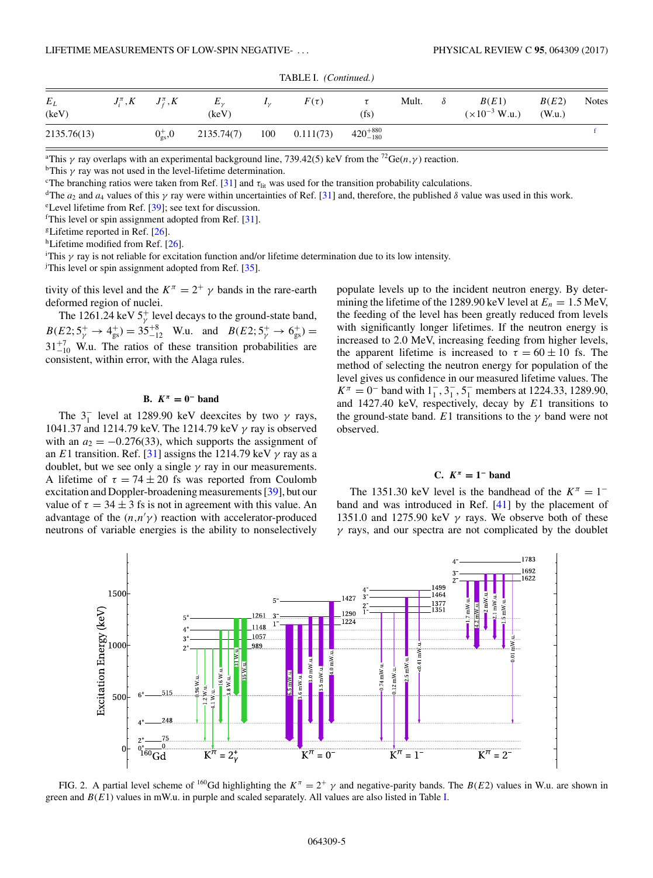<span id="page-6-0"></span>

| $E_L$<br>(keV) | $J_i^{\pi}, K$ $J_f^{\pi}, K$           | $E_{\nu}$<br>(keV) | $I_{\nu}$ | $F(\tau)$ | $(f_s)$             | Mult. | $\delta$ | B(E1)<br>$(x10^{-3}$ W.u.) | B(E2)<br>(W.u.) | <b>Notes</b> |
|----------------|-----------------------------------------|--------------------|-----------|-----------|---------------------|-------|----------|----------------------------|-----------------|--------------|
| 2135.76(13)    | $0_{\rm \scriptscriptstyle{ex}}^{+}$ ,0 | 2135.74(7)         | 100       | 0.111(73) | $420^{+880}_{-180}$ |       |          |                            |                 |              |

TABLE I. *(Continued.)*

<sup>a</sup>This  $\gamma$  ray overlaps with an experimental background line, 739.42(5) keV from the <sup>72</sup>Ge(*n*,  $\gamma$ ) reaction.

<sup>b</sup>This  $\gamma$  ray was not used in the level-lifetime determination.

<sup>c</sup>The branching ratios were taken from Ref. [\[31\]](#page-10-0) and  $\tau_{\text{lit}}$  was used for the transition probability calculations.

<sup>d</sup>The  $a_2$  and  $a_4$  values of this  $\gamma$  ray were within uncertainties of Ref. [\[31\]](#page-10-0) and, therefore, the published  $\delta$  value was used in this work.

e Level lifetime from Ref. [\[39\]](#page-10-0); see text for discussion.

<sup>f</sup>This level or spin assignment adopted from Ref. [\[31\]](#page-10-0).

<sup>g</sup>Lifetime reported in Ref.  $[26]$ .

hLifetime modified from Ref. [\[26\]](#page-10-0).

<sup>i</sup>This  $\gamma$  ray is not reliable for excitation function and/or lifetime determination due to its low intensity. This level or spin assignment adopted from Ref. [\[35\]](#page-10-0).

tivity of this level and the  $K^{\pi} = 2^{+} \gamma$  bands in the rare-earth deformed region of nuclei.

The 1261.24 keV  $5^+_\gamma$  level decays to the ground-state band,  $B(E2; 5^+_{\gamma} \rightarrow 4^+_{gs}) = 35^{+8}_{-12}$  W.u. and  $B(E2; 5^+_{\gamma} \rightarrow 6^+_{gs}) =$  $31^{+7}_{-10}$  W.u. The ratios of these transition probabilities are consistent, within error, with the Alaga rules.

#### **B.**  $K^{\pi} = 0^-$  **band**

The  $3<sub>1</sub><sup>-</sup>$  level at 1289.90 keV deexcites by two  $\gamma$  rays, 1041.37 and 1214.79 keV. The 1214.79 keV γ ray is observed with an  $a_2 = -0.276(33)$ , which supports the assignment of an E1 transition. Ref. [\[31\]](#page-10-0) assigns the 1214.79 keV  $\gamma$  ray as a doublet, but we see only a single  $\gamma$  ray in our measurements. A lifetime of  $\tau = 74 \pm 20$  fs was reported from Coulomb excitation and Doppler-broadening measurements [\[39\]](#page-10-0), but our value of  $\tau = 34 \pm 3$  fs is not in agreement with this value. An advantage of the  $(n,n'\gamma)$  reaction with accelerator-produced neutrons of variable energies is the ability to nonselectively populate levels up to the incident neutron energy. By determining the lifetime of the 1289.90 keV level at  $E_n = 1.5$  MeV, the feeding of the level has been greatly reduced from levels with significantly longer lifetimes. If the neutron energy is increased to 2.0 MeV, increasing feeding from higher levels, the apparent lifetime is increased to  $\tau = 60 \pm 10$  fs. The method of selecting the neutron energy for population of the level gives us confidence in our measured lifetime values. The  $K^{\pi} = 0^{-}$  band with  $1_{1}^{-}$ ,  $3_{1}^{-}$ ,  $5_{1}^{-}$  members at 1224.33, 1289.90, and 1427.40 keV, respectively, decay by  $E1$  transitions to the ground-state band. E1 transitions to the  $\gamma$  band were not observed.

## **C.** *K<sup>π</sup>* **= 1<sup>−</sup> band**

The 1351.30 keV level is the bandhead of the  $K^{\pi} = 1^{-}$ band and was introduced in Ref. [\[41\]](#page-10-0) by the placement of 1351.0 and 1275.90 keV  $\gamma$  rays. We observe both of these  $\gamma$  rays, and our spectra are not complicated by the doublet



FIG. 2. A partial level scheme of <sup>160</sup>Gd highlighting the  $K^{\pi} = 2^{+} \gamma$  and negative-parity bands. The  $B(E2)$  values in W.u. are shown in green and  $B(E1)$  values in mW.u. in purple and scaled separately. All values are also listed in Table [I.](#page-4-0)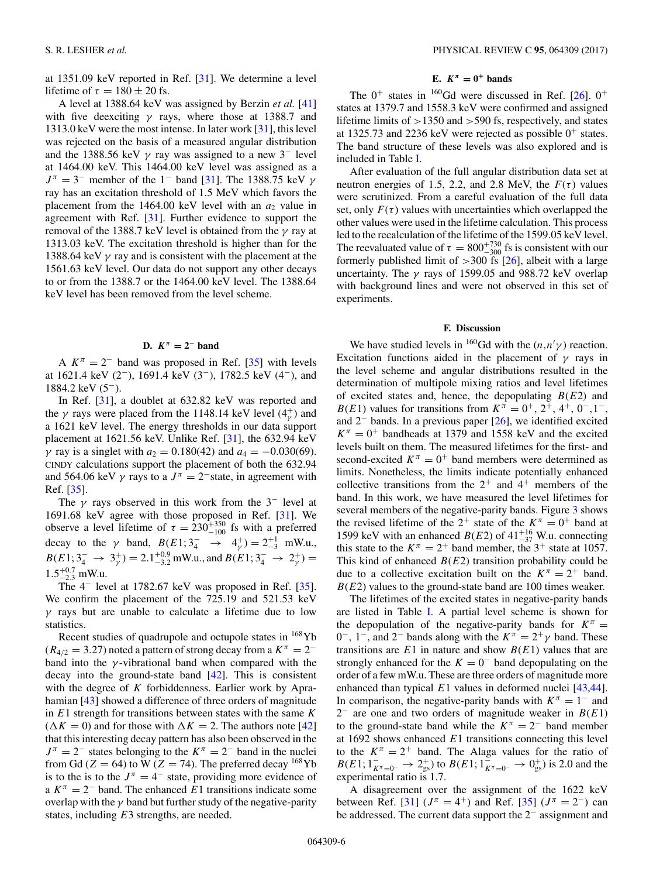at 1351.09 keV reported in Ref. [\[31\]](#page-10-0). We determine a level lifetime of  $\tau = 180 \pm 20$  fs.

A level at 1388.64 keV was assigned by Berzin *et al.* [\[41\]](#page-10-0) with five deexciting  $\gamma$  rays, where those at 1388.7 and 1313.0 keV were the most intense. In later work [\[31\]](#page-10-0), this level was rejected on the basis of a measured angular distribution and the 1388.56 keV  $\gamma$  ray was assigned to a new 3<sup>-</sup> level at 1464.00 keV. This 1464.00 keV level was assigned as a  $J^{\pi} = 3^-$  member of the 1<sup>-</sup> band [\[31\]](#page-10-0). The 1388.75 keV  $\gamma$ ray has an excitation threshold of 1.5 MeV which favors the placement from the 1464.00 keV level with an  $a_2$  value in agreement with Ref. [\[31\]](#page-10-0). Further evidence to support the removal of the 1388.7 keV level is obtained from the  $\gamma$  ray at 1313.03 keV. The excitation threshold is higher than for the 1388.64 keV  $\gamma$  ray and is consistent with the placement at the 1561.63 keV level. Our data do not support any other decays to or from the 1388.7 or the 1464.00 keV level. The 1388.64 keV level has been removed from the level scheme.

#### D.  $K^π = 2^-$  **band**

A  $K^{\pi} = 2^{-}$  band was proposed in Ref. [\[35\]](#page-10-0) with levels at 1621.4 keV (2−), 1691.4 keV (3−), 1782.5 keV (4−), and 1884.2 keV (5−).

In Ref. [\[31\]](#page-10-0), a doublet at 632.82 keV was reported and the  $\gamma$  rays were placed from the 1148.14 keV level (4 $_{\gamma}^{+}$ ) and a 1621 keV level. The energy thresholds in our data support placement at 1621.56 keV. Unlike Ref. [\[31\]](#page-10-0), the 632.94 keV γ ray is a singlet with  $a_2 = 0.180(42)$  and  $a_4 = -0.030(69)$ . CINDY calculations support the placement of both the 632.94 and 564.06 keV  $\gamma$  rays to a  $J^{\pi} = 2^-$  state, in agreement with Ref. [\[35\]](#page-10-0).

The  $\gamma$  rays observed in this work from the 3<sup>-</sup> level at 1691.68 keV agree with those proposed in Ref. [\[31\]](#page-10-0). We observe a level lifetime of  $\tau = 230^{+350}_{-100}$  fs with a preferred decay to the  $\gamma$  band,  $B(E1; 3_4^- \rightarrow 4_\gamma^+) = 2_{-3}^{+1}$  mW.u.,  $B(E1; 3<sub>4</sub><sup>-</sup> \rightarrow 3<sub>7</sub><sup>+</sup>) = 2.1<sup>+0.9</sup>_{-3.2}$  mW.u., and  $B(E1; 3<sub>4</sub><sup>-</sup> \rightarrow 2<sub>7</sub><sup>+</sup>) =$  $1.5^{+0.7}_{-2.3}$  mW.u.

The 4<sup>−</sup> level at 1782.67 keV was proposed in Ref. [\[35\]](#page-10-0). We confirm the placement of the 725.19 and 521.53 keV  $\gamma$  rays but are unable to calculate a lifetime due to low statistics.

Recent studies of quadrupole and octupole states in  $168 \text{Yb}$  $(R_{4/2} = 3.27)$  noted a pattern of strong decay from a  $K^{\pi} = 2^{-\pi}$ band into the  $\gamma$ -vibrational band when compared with the decay into the ground-state band  $[42]$ . This is consistent with the degree of  $K$  forbiddenness. Earlier work by Aprahamian [\[43\]](#page-10-0) showed a difference of three orders of magnitude in  $E1$  strength for transitions between states with the same  $K$  $(\Delta K = 0)$  and for those with  $\Delta K = 2$ . The authors note [\[42\]](#page-10-0) that this interesting decay pattern has also been observed in the  $J^{\pi} = 2^{-}$  states belonging to the  $K^{\pi} = 2^{-}$  band in the nuclei from Gd ( $Z = 64$ ) to W ( $Z = 74$ ). The preferred decay <sup>168</sup>Yb is to the is to the  $J^{\pi} = 4^-$  state, providing more evidence of a  $K^{\pi} = 2^{-}$  band. The enhanced E1 transitions indicate some overlap with the  $\gamma$  band but further study of the negative-parity states, including E3 strengths, are needed.

## **E.**  $K^{\pi} = 0^+$  **bands**

The  $0^+$  states in <sup>160</sup>Gd were discussed in Ref. [\[26\]](#page-10-0).  $0^+$ states at 1379.7 and 1558.3 keV were confirmed and assigned lifetime limits of >1350 and >590 fs, respectively, and states at 1325.73 and 2236 keV were rejected as possible  $0^+$  states. The band structure of these levels was also explored and is included in Table [I.](#page-4-0)

After evaluation of the full angular distribution data set at neutron energies of 1.5, 2.2, and 2.8 MeV, the  $F(\tau)$  values were scrutinized. From a careful evaluation of the full data set, only  $F(\tau)$  values with uncertainties which overlapped the other values were used in the lifetime calculation. This process led to the recalculation of the lifetime of the 1599.05 keV level. The reevaluated value of  $\tau = 800^{+730}_{-300}$  fs is consistent with our formerly published limit of  $>300$  fs [\[26\]](#page-10-0), albeit with a large uncertainty. The  $\gamma$  rays of 1599.05 and 988.72 keV overlap with background lines and were not observed in this set of experiments.

#### **F. Discussion**

We have studied levels in <sup>160</sup>Gd with the  $(n, n' \gamma)$  reaction. Excitation functions aided in the placement of  $\gamma$  rays in the level scheme and angular distributions resulted in the determination of multipole mixing ratios and level lifetimes of excited states and, hence, the depopulating  $B(E2)$  and  $B(E1)$  values for transitions from  $K^{\pi} = 0^{+}$ ,  $2^{+}$ ,  $4^{+}$ ,  $0^{-}$ ,  $1^{-}$ , and 2<sup>−</sup> bands. In a previous paper [\[26\]](#page-10-0), we identified excited  $K^{\pi} = 0^{+}$  bandheads at 1379 and 1558 keV and the excited levels built on them. The measured lifetimes for the first- and second-excited  $K^{\pi} = 0^{+}$  band members were determined as limits. Nonetheless, the limits indicate potentially enhanced collective transitions from the  $2^+$  and  $4^+$  members of the band. In this work, we have measured the level lifetimes for several members of the negative-parity bands. Figure [3](#page-8-0) shows the revised lifetime of the  $2^+$  state of the  $K^{\pi} = 0^+$  band at 1599 keV with an enhanced  $B(E2)$  of 41<sup>+16</sup> W.u. connecting this state to the  $K^{\pi} = 2^{+}$  band member, the 3<sup>+</sup> state at 1057. This kind of enhanced  $B(E2)$  transition probability could be due to a collective excitation built on the  $K^{\pi} = 2^{+}$  band.  $B(E2)$  values to the ground-state band are 100 times weaker.

The lifetimes of the excited states in negative-parity bands are listed in Table [I.](#page-4-0) A partial level scheme is shown for the depopulation of the negative-parity bands for  $K^{\pi}$  = 0<sup>-</sup>, 1<sup>-</sup>, and 2<sup>-</sup> bands along with the  $K^{\pi} = 2^{+}\gamma$  band. These transitions are  $E1$  in nature and show  $B(E1)$  values that are strongly enhanced for the  $K = 0^-$  band depopulating on the order of a few mW.u. These are three orders of magnitude more enhanced than typical  $E1$  values in deformed nuclei  $[43,44]$ . In comparison, the negative-parity bands with  $K^{\pi} = 1^{-}$  and  $2^-$  are one and two orders of magnitude weaker in  $B(E1)$ to the ground-state band while the  $K^{\pi} = 2^{-}$  band member at 1692 shows enhanced  $E1$  transitions connecting this level to the  $K^{\pi} = 2^{+}$  band. The Alaga values for the ratio of  $B(E1; 1^-_{K^{\pi}=0^-} \rightarrow 2^+_{gs})$  to  $B(E1; 1^-_{K^{\pi}=0^-} \rightarrow 0^+_{gs})$  is 2.0 and the experimental ratio is 1.7.

A disagreement over the assignment of the 1622 keV between Ref. [\[31\]](#page-10-0)  $(J^{\pi} = 4^+)$  and Ref. [\[35\]](#page-10-0)  $(J^{\pi} = 2^-)$  can be addressed. The current data support the 2<sup>−</sup> assignment and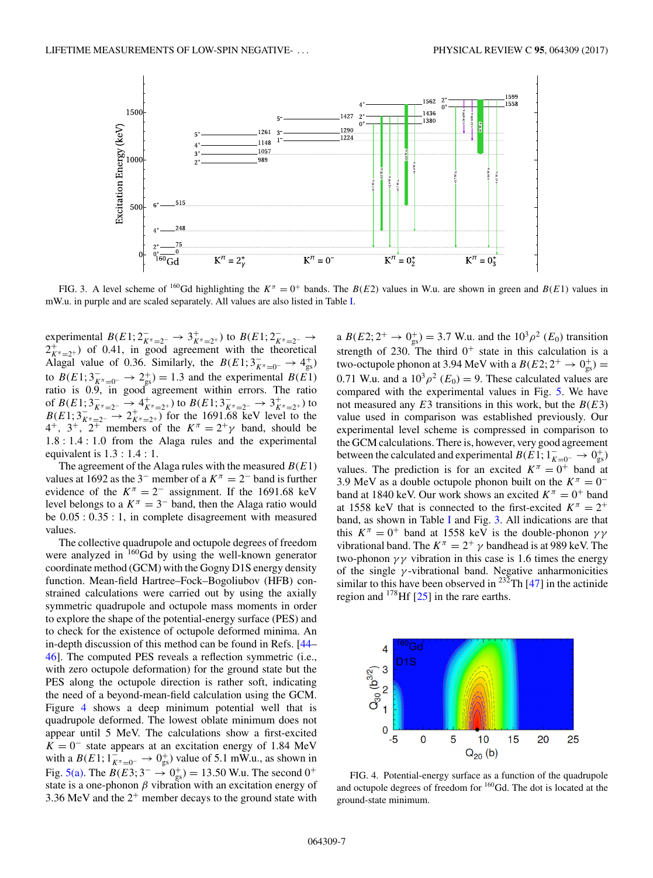<span id="page-8-0"></span>

FIG. 3. A level scheme of <sup>160</sup>Gd highlighting the  $K^{\pi} = 0^{+}$  bands. The  $B(E2)$  values in W.u. are shown in green and  $B(E1)$  values in mW.u. in purple and are scaled separately. All values are also listed in Table [I.](#page-4-0)

experimental  $B(E1; 2\overline{K}_{\pi=2^-} \rightarrow 3\overline{K}_{\pi=2^+})$  to  $B(E1; 2\overline{K}_{\pi=2^-} \rightarrow 2\overline{K}_{\pi=2^+})$  of 0.41, in good agreement with the theoretical Alagal value of 0.36. Similarly, the  $B(E1; 3\bar{K}^{\pi}=0^- \rightarrow 4^+_{gs})$ to  $B(E1; 3\pi/_{E^{\pi}=0^-} \rightarrow 2^+_{gs}) = 1.3$  and the experimental  $B(E1)$ ratio is 0.9, in good agreement within errors. The ratio of  $B(E1; 3\bar{K}^-\to 4\bar{K}^-\to 2\bar{K}^-\to 2\bar{K}^-\to 3\bar{K}^-\to 2\bar{K}^-\to 2\bar{K}^-\to 2\bar{K}^-\to 1$  for the 1691.68 keV level to the <br>  $B(E1; 3\bar{K}^-\to 2\bar{K}^-\to 2\bar{K}^-\to 1)$  for the 1691.68 keV level to the  $4^+$ ,  $3^+$ ,  $2^+$  members of the  $K^{\pi} = 2^+ \gamma$  band, should be 1.8:1.4:1.0 from the Alaga rules and the experimental equivalent is 1.3:1.4 : 1.

The agreement of the Alaga rules with the measured  $B(E1)$ values at 1692 as the 3<sup>-</sup> member of a  $K^{\pi} = 2^{-}$  band is further evidence of the  $K^{\pi} = 2^{-}$  assignment. If the 1691.68 keV level belongs to a  $K^{\pi} = 3^{-}$  band, then the Alaga ratio would be 0.05 : 0.35 : 1, in complete disagreement with measured values.

The collective quadrupole and octupole degrees of freedom were analyzed in <sup>160</sup>Gd by using the well-known generator coordinate method (GCM) with the Gogny D1S energy density function. Mean-field Hartree–Fock–Bogoliubov (HFB) constrained calculations were carried out by using the axially symmetric quadrupole and octupole mass moments in order to explore the shape of the potential-energy surface (PES) and to check for the existence of octupole deformed minima. An in-depth discussion of this method can be found in Refs. [\[44–](#page-10-0) [46\]](#page-11-0). The computed PES reveals a reflection symmetric (i.e., with zero octupole deformation) for the ground state but the PES along the octupole direction is rather soft, indicating the need of a beyond-mean-field calculation using the GCM. Figure 4 shows a deep minimum potential well that is quadrupole deformed. The lowest oblate minimum does not appear until 5 MeV. The calculations show a first-excited  $K = 0^-$  state appears at an excitation energy of 1.84 MeV with a  $B(E1; 1_{K^{\pi}=0^-}^{-} \rightarrow 0_{gs}^{+})$  value of 5.1 mW.u., as shown in Fig. [5\(a\).](#page-9-0) The  $B(E3; 3^{-} \rightarrow 0^{+}_{gs}) = 13.50$  W.u. The second  $0^{+}$ state is a one-phonon  $\beta$  vibration with an excitation energy of 3.36 MeV and the  $2^+$  member decays to the ground state with

a  $B(E2; 2^+ \rightarrow 0^+_{gs}) = 3.7$  W.u. and the  $10^3 \rho^2$  ( $E_0$ ) transition strength of 230. The third  $0^+$  state in this calculation is a two-octupole phonon at 3.94 MeV with a  $B(E2; 2^+ \rightarrow 0^+_{gs}) =$ 0.71 W.u. and a  $10^3 \rho^2$  (E<sub>0</sub>) = 9. These calculated values are compared with the experimental values in Fig. [5.](#page-9-0) We have not measured any  $E3$  transitions in this work, but the  $B(E3)$ value used in comparison was established previously. Our experimental level scheme is compressed in comparison to the GCM calculations. There is, however, very good agreement between the calculated and experimental  $B(E1; 1_{K=0^-}^- \rightarrow 0_{gs}^+)$ values. The prediction is for an excited  $K^{\pi} = 0^{+}$  band at 3.9 MeV as a double octupole phonon built on the  $K^{\pi} = 0^{-1}$ band at 1840 keV. Our work shows an excited  $K^{\pi} = 0^{+}$  band at 1558 keV that is connected to the first-excited  $K^{\pi} = 2^{+}$ band, as shown in Table [I](#page-4-0) and Fig. 3. All indications are that this  $K^{\pi} = 0^{+}$  band at 1558 keV is the double-phonon  $\gamma \gamma$ vibrational band. The  $K^{\pi} = 2^{+} \gamma$  bandhead is at 989 keV. The two-phonon  $\gamma\gamma$  vibration in this case is 1.6 times the energy of the single  $\gamma$ -vibrational band. Negative anharmonicities similar to this have been observed in <sup>232</sup>Th  $[47]$  in the actinide region and 178Hf [\[25\]](#page-10-0) in the rare earths.



FIG. 4. Potential-energy surface as a function of the quadrupole and octupole degrees of freedom for  $160$  Gd. The dot is located at the ground-state minimum.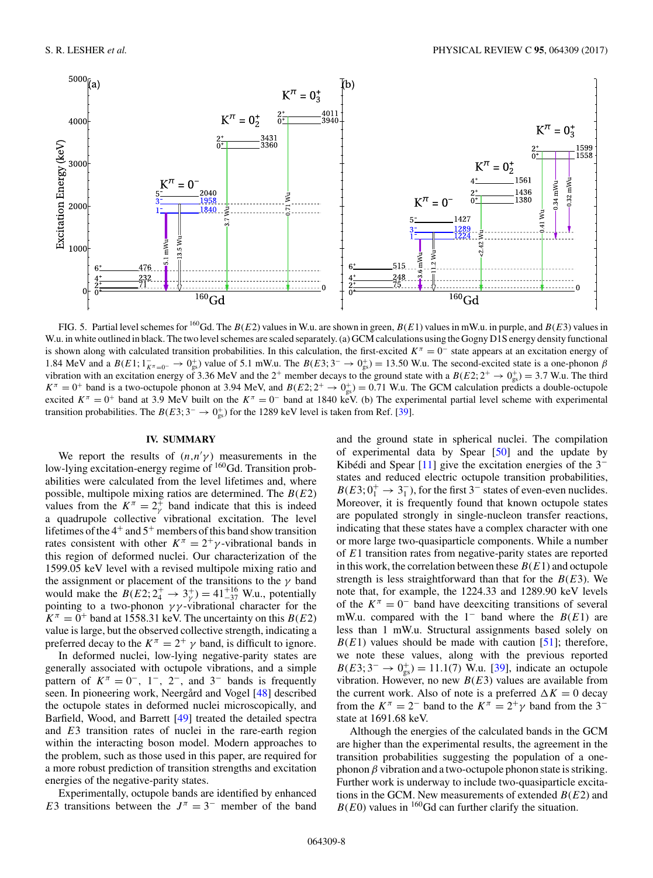<span id="page-9-0"></span>

FIG. 5. Partial level schemes for <sup>160</sup>Gd. The  $B(E2)$  values in W.u. are shown in green,  $B(E1)$  values in mW.u. in purple, and  $B(E3)$  values in W.u. in white outlined in black. The two level schemes are scaled separately. (a) GCM calculations using the Gogny D1S energy density functional is shown along with calculated transition probabilities. In this calculation, the first-excited  $K^{\pi} = 0^{-1}$  state appears at an excitation energy of 1.84 MeV and a  $B(E1; 1_{K^{\pi}=0^-} \rightarrow 0^+_{gs})$  value of 5.1 mW.u. The  $B(E3; 3^- \rightarrow 0^+_{gs}) = 13.50$  W.u. The second-excited state is a one-phonon  $\beta$ vibration with an excitation energy of 3.36 MeV and the 2<sup>+</sup> member decays to the ground state with a  $B(E2; 2^+ \rightarrow 0^+_{gs}) = 3.7$  W.u. The third  $K^{\pi} = 0^{+}$  band is a two-octupole phonon at 3.94 MeV, and  $B(E2; 2^{+} \rightarrow 0^{+}_{gs}) = 0.71$  W.u. The GCM calculation predicts a double-octupole excited  $K^{\pi} = 0^{+}$  band at 3.9 MeV built on the  $K^{\pi} = 0^{-}$  band at 1840 keV. (b) The experimental partial level scheme with experimental transition probabilities. The  $B(E3; 3^- \rightarrow 0^+_{gs})$  for the 1289 keV level is taken from Ref. [\[39\]](#page-10-0).

### **IV. SUMMARY**

We report the results of  $(n,n'\gamma)$  measurements in the low-lying excitation-energy regime of <sup>160</sup>Gd. Transition probabilities were calculated from the level lifetimes and, where possible, multipole mixing ratios are determined. The  $B(E2)$ values from the  $K^{\pi} = 2_{\gamma}^{+}$  band indicate that this is indeed a quadrupole collective vibrational excitation. The level lifetimes of the  $4^+$  and  $5^+$  members of this band show transition rates consistent with other  $K^{\pi} = 2^{+}\gamma$ -vibrational bands in this region of deformed nuclei. Our characterization of the 1599.05 keV level with a revised multipole mixing ratio and the assignment or placement of the transitions to the  $\gamma$  band would make the  $B(E2; 2^+_4 \rightarrow 3^+_y) = 41^{+16}_{-37}$  W.u., potentially pointing to a two-phonon  $\gamma\gamma$ -vibrational character for the  $K^{\pi} = 0^{+}$  band at 1558.31 keV. The uncertainty on this  $B(E2)$ value is large, but the observed collective strength, indicating a preferred decay to the  $K^{\pi} = 2^{+} \gamma$  band, is difficult to ignore.

In deformed nuclei, low-lying negative-parity states are generally associated with octupole vibrations, and a simple pattern of  $K^{\pi} = 0^{-}$ , 1<sup>-</sup>, 2<sup>-</sup>, and 3<sup>-</sup> bands is frequently seen. In pioneering work, Neergård and Vogel [\[48\]](#page-11-0) described the octupole states in deformed nuclei microscopically, and Barfield, Wood, and Barrett [\[49\]](#page-11-0) treated the detailed spectra and E3 transition rates of nuclei in the rare-earth region within the interacting boson model. Modern approaches to the problem, such as those used in this paper, are required for a more robust prediction of transition strengths and excitation energies of the negative-parity states.

Experimentally, octupole bands are identified by enhanced E3 transitions between the  $J^{\pi} = 3^-$  member of the band

and the ground state in spherical nuclei. The compilation of experimental data by Spear [\[50\]](#page-11-0) and the update by Kibédi and Spear [\[11\]](#page-10-0) give the excitation energies of the 3<sup>−</sup> states and reduced electric octupole transition probabilities,  $B(E3; 0^+_1 \rightarrow 3^-_1)$ , for the first 3<sup>-</sup> states of even-even nuclides. Moreover, it is frequently found that known octupole states are populated strongly in single-nucleon transfer reactions, indicating that these states have a complex character with one or more large two-quasiparticle components. While a number of E1 transition rates from negative-parity states are reported in this work, the correlation between these  $B(E1)$  and octupole strength is less straightforward than that for the  $B(E3)$ . We note that, for example, the 1224.33 and 1289.90 keV levels of the  $K^{\pi} = 0^-$  band have deexciting transitions of several mW.u. compared with the 1<sup>-</sup> band where the  $B(E1)$  are less than 1 mW.u. Structural assignments based solely on  $B(E1)$  values should be made with caution [\[51\]](#page-11-0); therefore, we note these values, along with the previous reported  $B(E3; 3^- \rightarrow 0^+_{gs}) = 11.1(7)$  W.u. [\[39\]](#page-10-0), indicate an octupole vibration. However, no new  $B(E3)$  values are available from the current work. Also of note is a preferred  $\Delta K = 0$  decay from the  $K^{\pi} = 2^{-}$  band to the  $K^{\pi} = 2^{+}\gamma$  band from the 3<sup>-</sup> state at 1691.68 keV.

Although the energies of the calculated bands in the GCM are higher than the experimental results, the agreement in the transition probabilities suggesting the population of a onephonon  $\beta$  vibration and a two-octupole phonon state is striking. Further work is underway to include two-quasiparticle excitations in the GCM. New measurements of extended  $B(E2)$  and  $B(E0)$  values in <sup>160</sup>Gd can further clarify the situation.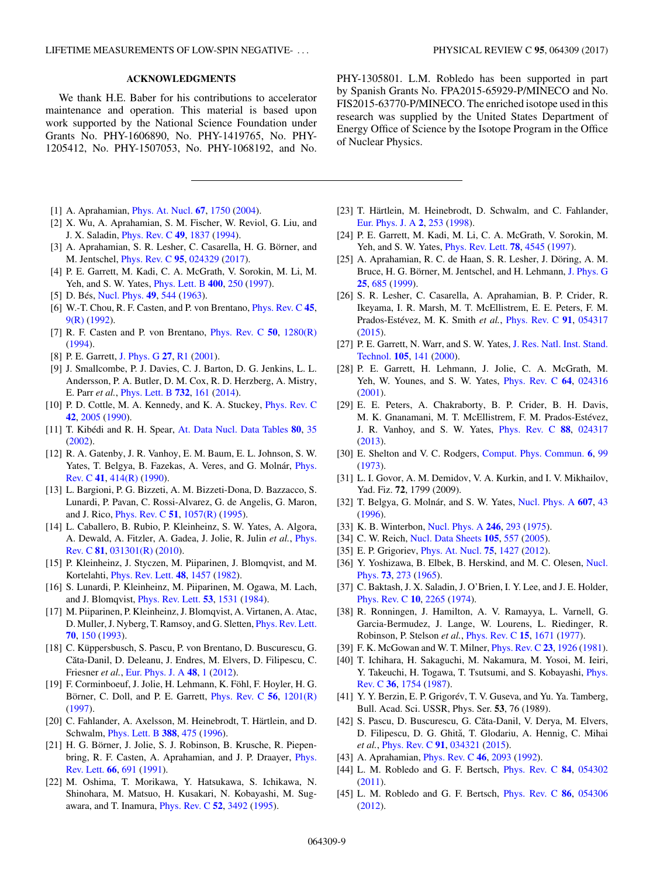#### **ACKNOWLEDGMENTS**

<span id="page-10-0"></span>We thank H.E. Baber for his contributions to accelerator maintenance and operation. This material is based upon work supported by the National Science Foundation under Grants No. PHY-1606890, No. PHY-1419765, No. PHY-1205412, No. PHY-1507053, No. PHY-1068192, and No.

- [1] A. Aprahamian, [Phys. At. Nucl.](https://doi.org/10.1134/1.1806918) **[67](https://doi.org/10.1134/1.1806918)**, [1750](https://doi.org/10.1134/1.1806918) [\(2004\)](https://doi.org/10.1134/1.1806918).
- [2] X. Wu, A. Aprahamian, S. M. Fischer, W. Reviol, G. Liu, and J. X. Saladin, [Phys. Rev. C](https://doi.org/10.1103/PhysRevC.49.1837) **[49](https://doi.org/10.1103/PhysRevC.49.1837)**, [1837](https://doi.org/10.1103/PhysRevC.49.1837) [\(1994\)](https://doi.org/10.1103/PhysRevC.49.1837).
- [3] A. Aprahamian, S. R. Lesher, C. Casarella, H. G. Börner, and M. Jentschel, [Phys. Rev. C](https://doi.org/10.1103/PhysRevC.95.024329) **[95](https://doi.org/10.1103/PhysRevC.95.024329)**, [024329](https://doi.org/10.1103/PhysRevC.95.024329) [\(2017\)](https://doi.org/10.1103/PhysRevC.95.024329).
- [4] P. E. Garrett, M. Kadi, C. A. McGrath, V. Sorokin, M. Li, M. Yeh, and S. W. Yates, [Phys. Lett. B](https://doi.org/10.1016/S0370-2693(97)00373-0) **[400](https://doi.org/10.1016/S0370-2693(97)00373-0)**, [250](https://doi.org/10.1016/S0370-2693(97)00373-0) [\(1997\)](https://doi.org/10.1016/S0370-2693(97)00373-0).
- [5] D. Bés, [Nucl. Phys.](https://doi.org/10.1016/0029-5582(63)90120-2) **[49](https://doi.org/10.1016/0029-5582(63)90120-2)**, [544](https://doi.org/10.1016/0029-5582(63)90120-2) [\(1963\)](https://doi.org/10.1016/0029-5582(63)90120-2).
- [6] W.-T. Chou, R. F. Casten, and P. von Brentano, [Phys. Rev. C](https://doi.org/10.1103/PhysRevC.45.R9) **[45](https://doi.org/10.1103/PhysRevC.45.R9)**, [9\(R\)](https://doi.org/10.1103/PhysRevC.45.R9) [\(1992\)](https://doi.org/10.1103/PhysRevC.45.R9).
- [7] R. F. Casten and P. von Brentano, [Phys. Rev. C](https://doi.org/10.1103/PhysRevC.50.R1280) **[50](https://doi.org/10.1103/PhysRevC.50.R1280)**, [1280\(R\)](https://doi.org/10.1103/PhysRevC.50.R1280) [\(1994\)](https://doi.org/10.1103/PhysRevC.50.R1280).
- [8] P. E. Garrett, [J. Phys. G](https://doi.org/10.1088/0954-3899/27/1/201) **[27](https://doi.org/10.1088/0954-3899/27/1/201)**, [R1](https://doi.org/10.1088/0954-3899/27/1/201) [\(2001\)](https://doi.org/10.1088/0954-3899/27/1/201).
- [9] J. Smallcombe, P. J. Davies, C. J. Barton, D. G. Jenkins, L. L. Andersson, P. A. Butler, D. M. Cox, R. D. Herzberg, A. Mistry, E. Parr *et al.*, [Phys. Lett. B](https://doi.org/10.1016/j.physletb.2014.03.034) **[732](https://doi.org/10.1016/j.physletb.2014.03.034)**, [161](https://doi.org/10.1016/j.physletb.2014.03.034) [\(2014\)](https://doi.org/10.1016/j.physletb.2014.03.034).
- [10] P. D. Cottle, M. A. Kennedy, and K. A. Stuckey, [Phys. Rev. C](https://doi.org/10.1103/PhysRevC.42.2005) **[42](https://doi.org/10.1103/PhysRevC.42.2005)**, [2005](https://doi.org/10.1103/PhysRevC.42.2005) [\(1990\)](https://doi.org/10.1103/PhysRevC.42.2005).
- [11] T. Kibédi and R. H. Spear, [At. Data Nucl. Data Tables](https://doi.org/10.1006/adnd.2001.0871) **[80](https://doi.org/10.1006/adnd.2001.0871)**, [35](https://doi.org/10.1006/adnd.2001.0871) [\(2002\)](https://doi.org/10.1006/adnd.2001.0871).
- [12] R. A. Gatenby, J. R. Vanhoy, E. M. Baum, E. L. Johnson, S. W. [Yates, T. Belgya, B. Fazekas, A. Veres, and G. Molnár,](https://doi.org/10.1103/PhysRevC.41.R414) Phys. Rev. C **[41](https://doi.org/10.1103/PhysRevC.41.R414)**, [414\(R\)](https://doi.org/10.1103/PhysRevC.41.R414) [\(1990\)](https://doi.org/10.1103/PhysRevC.41.R414).
- [13] L. Bargioni, P. G. Bizzeti, A. M. Bizzeti-Dona, D. Bazzacco, S. Lunardi, P. Pavan, C. Rossi-Alvarez, G. de Angelis, G. Maron, and J. Rico, [Phys. Rev. C](https://doi.org/10.1103/PhysRevC.51.R1057) **[51](https://doi.org/10.1103/PhysRevC.51.R1057)**, [1057\(R\)](https://doi.org/10.1103/PhysRevC.51.R1057) [\(1995\)](https://doi.org/10.1103/PhysRevC.51.R1057).
- [14] L. Caballero, B. Rubio, P. Kleinheinz, S. W. Yates, A. Algora, [A. Dewald, A. Fitzler, A. Gadea, J. Jolie, R. Julin](https://doi.org/10.1103/PhysRevC.81.031301) *et al.*, Phys. Rev. C **[81](https://doi.org/10.1103/PhysRevC.81.031301)**, [031301\(R\)](https://doi.org/10.1103/PhysRevC.81.031301) [\(2010\)](https://doi.org/10.1103/PhysRevC.81.031301).
- [15] P. Kleinheinz, J. Styczen, M. Piiparinen, J. Blomqvist, and M. Kortelahti, [Phys. Rev. Lett.](https://doi.org/10.1103/PhysRevLett.48.1457) **[48](https://doi.org/10.1103/PhysRevLett.48.1457)**, [1457](https://doi.org/10.1103/PhysRevLett.48.1457) [\(1982\)](https://doi.org/10.1103/PhysRevLett.48.1457).
- [16] S. Lunardi, P. Kleinheinz, M. Piiparinen, M. Ogawa, M. Lach, and J. Blomqvist, [Phys. Rev. Lett.](https://doi.org/10.1103/PhysRevLett.53.1531) **[53](https://doi.org/10.1103/PhysRevLett.53.1531)**, [1531](https://doi.org/10.1103/PhysRevLett.53.1531) [\(1984\)](https://doi.org/10.1103/PhysRevLett.53.1531).
- [17] M. Piiparinen, P. Kleinheinz, J. Blomqvist, A. Virtanen, A. Atac, D. Muller, J. Nyberg, T. Ramsoy, and G. Sletten, [Phys. Rev. Lett.](https://doi.org/10.1103/PhysRevLett.70.150) **[70](https://doi.org/10.1103/PhysRevLett.70.150)**, [150](https://doi.org/10.1103/PhysRevLett.70.150) [\(1993\)](https://doi.org/10.1103/PhysRevLett.70.150).
- [18] C. Küppersbusch, S. Pascu, P. von Brentano, D. Buscurescu, G. Căta-Danil, D. Deleanu, J. Endres, M. Elvers, D. Filipescu, C. Friesner *et al.*, [Eur. Phys. J. A](https://doi.org/10.1140/epja/i2012-12001-2) **[48](https://doi.org/10.1140/epja/i2012-12001-2)**, [1](https://doi.org/10.1140/epja/i2012-12001-2) [\(2012\)](https://doi.org/10.1140/epja/i2012-12001-2).
- [19] F. Corminboeuf, J. Jolie, H. Lehmann, K. Föhl, F. Hoyler, H. G. Börner, C. Doll, and P. E. Garrett, [Phys. Rev. C](https://doi.org/10.1103/PhysRevC.56.R1201) **[56](https://doi.org/10.1103/PhysRevC.56.R1201)**, [1201\(R\)](https://doi.org/10.1103/PhysRevC.56.R1201) [\(1997\)](https://doi.org/10.1103/PhysRevC.56.R1201).
- [20] C. Fahlander, A. Axelsson, M. Heinebrodt, T. Härtlein, and D. Schwalm, [Phys. Lett. B](https://doi.org/10.1016/S0370-2693(96)01203-8) **[388](https://doi.org/10.1016/S0370-2693(96)01203-8)**, [475](https://doi.org/10.1016/S0370-2693(96)01203-8) [\(1996\)](https://doi.org/10.1016/S0370-2693(96)01203-8).
- [21] H. G. Börner, J. Jolie, S. J. Robinson, B. Krusche, R. Piepen[bring, R. F. Casten, A. Aprahamian, and J. P. Draayer,](https://doi.org/10.1103/PhysRevLett.66.691) Phys. Rev. Lett. **[66](https://doi.org/10.1103/PhysRevLett.66.691)**, [691](https://doi.org/10.1103/PhysRevLett.66.691) [\(1991\)](https://doi.org/10.1103/PhysRevLett.66.691).
- [22] M. Oshima, T. Morikawa, Y. Hatsukawa, S. Ichikawa, N. Shinohara, M. Matsuo, H. Kusakari, N. Kobayashi, M. Sugawara, and T. Inamura, [Phys. Rev. C](https://doi.org/10.1103/PhysRevC.52.3492) **[52](https://doi.org/10.1103/PhysRevC.52.3492)**, [3492](https://doi.org/10.1103/PhysRevC.52.3492) [\(1995\)](https://doi.org/10.1103/PhysRevC.52.3492).

PHY-1305801. L.M. Robledo has been supported in part by Spanish Grants No. FPA2015-65929-P/MINECO and No. FIS2015-63770-P/MINECO. The enriched isotope used in this research was supplied by the United States Department of Energy Office of Science by the Isotope Program in the Office of Nuclear Physics.

- [23] T. Härtlein, M. Heinebrodt, D. Schwalm, and C. Fahlander, [Eur. Phys. J. A](https://doi.org/10.1007/s100500050117) **[2](https://doi.org/10.1007/s100500050117)**, [253](https://doi.org/10.1007/s100500050117) [\(1998\)](https://doi.org/10.1007/s100500050117).
- [24] P. E. Garrett, M. Kadi, M. Li, C. A. McGrath, V. Sorokin, M. Yeh, and S. W. Yates, [Phys. Rev. Lett.](https://doi.org/10.1103/PhysRevLett.78.4545) **[78](https://doi.org/10.1103/PhysRevLett.78.4545)**, [4545](https://doi.org/10.1103/PhysRevLett.78.4545) [\(1997\)](https://doi.org/10.1103/PhysRevLett.78.4545).
- [25] A. Aprahamian, R. C. de Haan, S. R. Lesher, J. Döring, A. M. Bruce, H. G. Börner, M. Jentschel, and H. Lehmann, [J. Phys. G](https://doi.org/10.1088/0954-3899/25/4/020) **[25](https://doi.org/10.1088/0954-3899/25/4/020)**, [685](https://doi.org/10.1088/0954-3899/25/4/020) [\(1999\)](https://doi.org/10.1088/0954-3899/25/4/020).
- [26] S. R. Lesher, C. Casarella, A. Aprahamian, B. P. Crider, R. Ikeyama, I. R. Marsh, M. T. McEllistrem, E. E. Peters, F. M. Prados-Estévez, M. K. Smith *et al.*, [Phys. Rev. C](https://doi.org/10.1103/PhysRevC.91.054317) **[91](https://doi.org/10.1103/PhysRevC.91.054317)**, [054317](https://doi.org/10.1103/PhysRevC.91.054317) [\(2015\)](https://doi.org/10.1103/PhysRevC.91.054317).
- [27] [P. E. Garrett, N. Warr, and S. W. Yates,](https://doi.org/10.6028/jres.105.019) J. Res. Natl. Inst. Stand. Technol. **[105](https://doi.org/10.6028/jres.105.019)**, [141](https://doi.org/10.6028/jres.105.019) [\(2000\)](https://doi.org/10.6028/jres.105.019).
- [28] P. E. Garrett, H. Lehmann, J. Jolie, C. A. McGrath, M. Yeh, W. Younes, and S. W. Yates, [Phys. Rev. C](https://doi.org/10.1103/PhysRevC.64.024316) **[64](https://doi.org/10.1103/PhysRevC.64.024316)**, [024316](https://doi.org/10.1103/PhysRevC.64.024316) [\(2001\)](https://doi.org/10.1103/PhysRevC.64.024316).
- [29] E. E. Peters, A. Chakraborty, B. P. Crider, B. H. Davis, M. K. Gnanamani, M. T. McEllistrem, F. M. Prados-Estévez, J. R. Vanhoy, and S. W. Yates, [Phys. Rev. C](https://doi.org/10.1103/PhysRevC.88.024317) **[88](https://doi.org/10.1103/PhysRevC.88.024317)**, [024317](https://doi.org/10.1103/PhysRevC.88.024317) [\(2013\)](https://doi.org/10.1103/PhysRevC.88.024317).
- [30] E. Shelton and V. C. Rodgers, [Comput. Phys. Commun.](https://doi.org/10.1016/0010-4655(73)90049-0) **[6](https://doi.org/10.1016/0010-4655(73)90049-0)**, [99](https://doi.org/10.1016/0010-4655(73)90049-0) [\(1973\)](https://doi.org/10.1016/0010-4655(73)90049-0).
- [31] L. I. Govor, A. M. Demidov, V. A. Kurkin, and I. V. Mikhailov, Yad. Fiz. **72**, 1799 (2009).
- [32] T. Belgya, G. Molnár, and S. W. Yates, [Nucl. Phys. A](https://doi.org/10.1016/0375-9474(96)00221-7) **[607](https://doi.org/10.1016/0375-9474(96)00221-7)**, [43](https://doi.org/10.1016/0375-9474(96)00221-7) [\(1996\)](https://doi.org/10.1016/0375-9474(96)00221-7).
- [33] K. B. Winterbon, [Nucl. Phys. A](https://doi.org/10.1016/0375-9474(75)90647-8) **[246](https://doi.org/10.1016/0375-9474(75)90647-8)**, [293](https://doi.org/10.1016/0375-9474(75)90647-8) [\(1975\)](https://doi.org/10.1016/0375-9474(75)90647-8).
- [34] C. W. Reich, [Nucl. Data Sheets](https://doi.org/10.1016/j.nds.2005.08.001) **[105](https://doi.org/10.1016/j.nds.2005.08.001)**, [557](https://doi.org/10.1016/j.nds.2005.08.001) [\(2005\)](https://doi.org/10.1016/j.nds.2005.08.001).
- [35] E. P. Grigoriev, [Phys. At. Nucl.](https://doi.org/10.1134/S1063778812110075) **[75](https://doi.org/10.1134/S1063778812110075)**, [1427](https://doi.org/10.1134/S1063778812110075) [\(2012\)](https://doi.org/10.1134/S1063778812110075).
- [36] [Y. Yoshizawa, B. Elbek, B. Herskind, and M. C. Olesen,](https://doi.org/10.1016/0029-5582(65)90676-0) Nucl. Phys. **[73](https://doi.org/10.1016/0029-5582(65)90676-0)**, [273](https://doi.org/10.1016/0029-5582(65)90676-0) [\(1965\)](https://doi.org/10.1016/0029-5582(65)90676-0).
- [37] C. Baktash, J. X. Saladin, J. O'Brien, I. Y. Lee, and J. E. Holder, [Phys. Rev. C](https://doi.org/10.1103/PhysRevC.10.2265) **[10](https://doi.org/10.1103/PhysRevC.10.2265)**, [2265](https://doi.org/10.1103/PhysRevC.10.2265) [\(1974\)](https://doi.org/10.1103/PhysRevC.10.2265).
- [38] R. Ronningen, J. Hamilton, A. V. Ramayya, L. Varnell, G. Garcia-Bermudez, J. Lange, W. Lourens, L. Riedinger, R. Robinson, P. Stelson *et al.*, [Phys. Rev. C](https://doi.org/10.1103/PhysRevC.15.1671) **[15](https://doi.org/10.1103/PhysRevC.15.1671)**, [1671](https://doi.org/10.1103/PhysRevC.15.1671) [\(1977\)](https://doi.org/10.1103/PhysRevC.15.1671).
- [39] F. K. McGowan and W. T. Milner, [Phys. Rev. C](https://doi.org/10.1103/PhysRevC.23.1926) **[23](https://doi.org/10.1103/PhysRevC.23.1926)**, [1926](https://doi.org/10.1103/PhysRevC.23.1926) [\(1981\)](https://doi.org/10.1103/PhysRevC.23.1926).
- [40] T. Ichihara, H. Sakaguchi, M. Nakamura, M. Yosoi, M. Ieiri, [Y. Takeuchi, H. Togawa, T. Tsutsumi, and S. Kobayashi,](https://doi.org/10.1103/PhysRevC.36.1754) Phys. Rev. C **[36](https://doi.org/10.1103/PhysRevC.36.1754)**, [1754](https://doi.org/10.1103/PhysRevC.36.1754) [\(1987\)](https://doi.org/10.1103/PhysRevC.36.1754).
- [41] Y. Y. Berzin, E. P. Grigorév, T. V. Guseva, and Yu. Ya. Tamberg, Bull. Acad. Sci. USSR, Phys. Ser. **53**, 76 (1989).
- [42] S. Pascu, D. Buscurescu, G. Căta-Danil, V. Derya, M. Elvers, D. Filipescu, D. G. Ghită, T. Glodariu, A. Hennig, C. Mihai *et al.*, [Phys. Rev. C](https://doi.org/10.1103/PhysRevC.91.034321) **[91](https://doi.org/10.1103/PhysRevC.91.034321)**, [034321](https://doi.org/10.1103/PhysRevC.91.034321) [\(2015\)](https://doi.org/10.1103/PhysRevC.91.034321).
- [43] A. Aprahamian, [Phys. Rev. C](https://doi.org/10.1103/PhysRevC.46.2093) **[46](https://doi.org/10.1103/PhysRevC.46.2093)**, [2093](https://doi.org/10.1103/PhysRevC.46.2093) [\(1992\)](https://doi.org/10.1103/PhysRevC.46.2093).
- [44] L. M. Robledo and G. F. Bertsch, [Phys. Rev. C](https://doi.org/10.1103/PhysRevC.84.054302) **[84](https://doi.org/10.1103/PhysRevC.84.054302)**, [054302](https://doi.org/10.1103/PhysRevC.84.054302) [\(2011\)](https://doi.org/10.1103/PhysRevC.84.054302).
- [45] L. M. Robledo and G. F. Bertsch, [Phys. Rev. C](https://doi.org/10.1103/PhysRevC.86.054306) **[86](https://doi.org/10.1103/PhysRevC.86.054306)**, [054306](https://doi.org/10.1103/PhysRevC.86.054306) [\(2012\)](https://doi.org/10.1103/PhysRevC.86.054306).